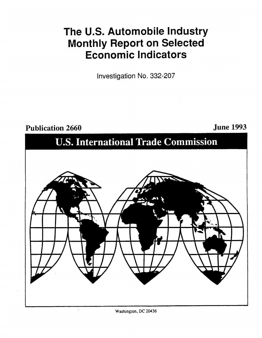# The **U.S.** Automobile Industry Monthly Report on Selected Economic Indicators

Investigation No. **332-207**

Publication **2660** June **1993 U.S.** International Trade Commission

Washington, **DC** 20436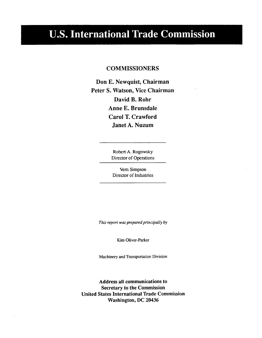## **U.S. International Trade Commission**

## **COMMISSIONERS**

Don **E.** Newquist, Chairman Peter **S.** Watson, Vice Chairman David B. Rohr Anne **E.** Brunsdale Carol T. Crawford Janet **A.** Nuzum

> Robert **A.** Rogowsky Director of Operations

Vern Simpson Director of Industries

*This report was prepared principally by*

Kim Oliver-Parker

Machinery and Transportation Division

Address all communications to Secretary to the Commission United States International Trade Commission Washington, **DC** 20436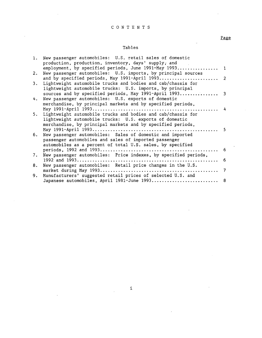## **CONTENTS**

÷,

 $\bar{\beta}$ 

## Tables

Page

 $\overline{a}$ 

 $\bar{\mathcal{L}}$ 

| 1. | New passenger automobiles: U.S. retail sales of domestic        |     |
|----|-----------------------------------------------------------------|-----|
|    | production, production, inventory, days' supply, and            |     |
|    | employment, by specified periods, June 1991-May 1993 1          |     |
| 2. | New passenger automobiles: U.S. imports, by principal sources   |     |
|    |                                                                 |     |
| 3. | Lightweight automobile trucks and bodies and cab/chassis for    |     |
|    | lightweight automobile trucks: U.S. imports, by principal       |     |
|    |                                                                 |     |
|    | sources and by specified periods, May 1991-April 1993 3         |     |
| 4. | New passenger automobiles: U.S. exports of domestic             |     |
|    | merchandise, by principal markets and by specified periods,     |     |
|    |                                                                 | 4   |
| 5. | Lightweight automobile trucks and bodies and cab/chassis for    |     |
|    | lightweight automobile trucks: U.S. exports of domestic         |     |
|    | merchandise, by principal markets and by specified periods,     |     |
|    |                                                                 |     |
|    |                                                                 |     |
| 6. | New passenger automobiles: Sales of domestic and imported       |     |
|    | passenger automobiles and sales of imported passenger           |     |
|    | automobiles as a percent of total U.S. sales, by specified      |     |
|    |                                                                 | - 6 |
| 7. | New passenger automobiles: Price indexes, by specified periods, |     |
|    |                                                                 | - 6 |
| 8. | New passenger automobiles: Retail price changes in the U.S.     |     |
|    |                                                                 |     |
|    |                                                                 |     |
| 9. | Manufacturers' suggested retail prices of selected U.S. and     |     |
|    | Japanese automobiles, April 1981-June 1993 8                    |     |

i

 $\bar{\lambda}$ 

 $\sim 1$ 

 $\ddot{\phantom{a}}$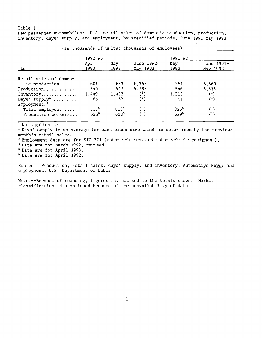New passenger automobiles: **U.S.** retail sales of domestic production, production, inventory, days' supply, and employment, **by** specified periods, June 1991-May **1993**

|                            | 1992-93          |             |                        | $1991 - 92$      |                        |
|----------------------------|------------------|-------------|------------------------|------------------|------------------------|
| Item                       | Apr.<br>1993     | May<br>1993 | June 1992-<br>May 1993 | May<br>1992      | June 1991-<br>May 1992 |
| Retail sales of domes-     |                  |             |                        |                  |                        |
| tic production             | 601              | 633         | 6,363                  | 561              | 6,560                  |
| Production                 | 540              | 547         | 5,787                  | 546              | 6,515                  |
| Inventory                  | 1,449            | 1,433       | $^{(1)}$               | 1,313            | $^{(1)}$               |
| Days' ${\rm supp1y^2}$     | 65               | 57          | $(^1)$                 | 61               | $^{(1)}$               |
| $Emplogment:$ <sup>3</sup> |                  |             |                        |                  |                        |
| Total employees            | 813 <sup>4</sup> | 8155        | $^{(1)}$               | 825 <sup>6</sup> | $^{(1)}$               |
| Production workers         | 6264             | 6285        | (1)                    | 629 <sup>6</sup> | (1)                    |

(In thousands of units: thousands of employees)

**1** Not applicable.

**<sup>2</sup>**Days' supply is an average for each class size which is determined **by** the previous month's retail sales.

**3** Employment data are for SIC **371** (motor vehicles and motor vehicle equipment).

4 Data are for March **1992,** revised.

**5** Data are for April **1993.**

**6** Data are for April **1992.**

Source: Production, retail sales, days' supply, and inventory, Automotive News; and employment, **U.S.** Department of Labor.

Note.--Because of rounding, figures may not add to the totals shown. Market classifications discontinued because of the unavailability of data.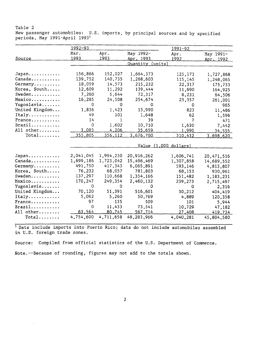#### Table 2 New passenger automobiles: **U.S.** imports, **by** principal sources and **by** specified periods, May 1991-April **19931**

| 1992-93<br>Mar.<br>May 1992-<br>Apr.              | 1991-92<br>May 1991-<br>Apr. |
|---------------------------------------------------|------------------------------|
|                                                   |                              |
| 1993<br>1993<br>Source<br><u> Apr. 1993 </u>      | 1992<br>Apr. 1992            |
|                                                   | Quantity (units)             |
|                                                   |                              |
| 156,866<br>152,027<br>Japan<br>1,664,373          | 125,173<br>1,727,868         |
| Canada<br>139,752<br>140,735<br>1,268,603         | 115,145<br>1,248,065         |
| Germany<br>18,059<br>14,573<br>215,232            | 22,317<br>175,733            |
| Korea, South<br>12,609<br>11,292<br>139,444       | 11,690<br>164,925            |
| 5,644<br>Sweden<br>7,260<br>72,317                | 8,231<br>64,506              |
| 24,508<br>Mexico<br>16,285<br>254,674             | 23,357<br>261,001            |
| Yugoslavia<br>$\Omega$<br>0                       | 0<br>0<br>965                |
| United Kingdom<br>1,836<br>1,423<br>13,990        | 823<br>11,486                |
| Italy<br>101<br>49<br>1,648                       | 62<br>1,596                  |
| 14<br>France<br>1                                 | 7<br>39<br>471               |
| $\Omega$<br>1,602<br>$Brazil$<br>10,710           | 1,630<br>7,442               |
| 3,083<br>All other<br>4,206<br>35,659             | 1,990<br>34.555              |
| $Total$<br>355,805<br>356,112<br><u>3,676,700</u> | 310,432<br><u>3,698,620</u>  |
|                                                   |                              |
|                                                   | Value (1,000 dollars)        |
| 2,041,045<br>1,994,230<br>20,916,262<br>Japan     | 1,606,741<br>20,471,516      |
| 1,699,186<br>Canada<br>1,723,042<br>15,496,469    | 1,307,858<br>14,689,552      |
| 491,750<br>417,343<br>6,065,891<br>Germany        | 593,146<br>4,813,807         |
| Korea, South<br>76,232<br>68,057<br>781,803       | 68,153<br>930,961            |
| 137,297<br>Sweden<br>110,668<br>1,354,166         | 151,482<br>1,183,231         |
| 170,247<br>249,354<br>Mexico<br>2,460,132         | 239,273<br>2,715,497         |
| Yugoslavia<br>0<br>$\Omega$                       | 0<br>0<br>2,316              |
| United Kingdom<br>70,120<br>51,391<br>516,601     | 30,212<br>404,419            |
| 5,062<br>5,260<br>50,769<br>Italy                 | 4,889<br>120,358             |
| 97<br>135<br>France                               | 509<br>101<br>5,944          |
| $\Omega$<br>11,433<br>73,541<br>$Brazil$          | 10,729<br>47,182             |
| 63.564<br>80.745<br>All other<br>567.714          | 27,408<br>419,734            |
| 4,754,600<br>4,711,658<br>$Total$<br>48,283,966   | 4,040,281<br>45,804,580      |

1 Data include imports into Puerto Rico; data do not include automobiles assembled in **U.S.** foreign trade zones.

Source: Compiled from official statistics of the **U.S.** Department of Commerce.

Note.--Because of rounding, figures may not add to the totals shown.

÷.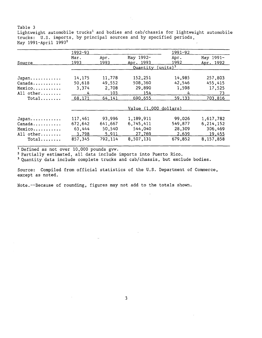Table **3** Lightweight automobile trucks<sup>1</sup> and bodies and cab/chassis for lightweight automobile trucks: **U.S.** imports, **by** principal sources and **by** specified periods, May 1991-April **19932**

|           | $1992 - 93$ |         |                       | $1991 - 92$        |           |
|-----------|-------------|---------|-----------------------|--------------------|-----------|
|           | Mar.        | Apr.    | May 1992-             | Apr.               | May 1991- |
| Source    | 1993        | 1993    | Apr. 1993             | 1992               | Apr. 1992 |
|           |             |         | Quantity              | $(\text{units})^3$ |           |
| Japan     | 14,175      | 11,778  | 152,251               | 14,985             | 257,803   |
| Canada    | 50,618      | 49,552  | 508,360               | 42,546             | 455,415   |
| Mexico    | 3,374       | 2,708   | 29,890                | 1,598              | 17,525    |
| All other | 4           | 103     | 154                   | 4                  | 73        |
| $Total$   | 68,171      | 64,141  | 690,655               | 59,133             | 703,816   |
|           |             |         | Value (1,000 dollars) |                    |           |
| Japan     | 117,461     | 93,996  | 1,189,911             | 99,026             | 1,617,782 |
| Canada    | 672,642     | 641,667 | 6,745,411             | 549,877            | 6,214,152 |
| Mexico    | 63,444      | 50,540  | 544.040               | 28,309             | 306,469   |
| All other | 3,798       | 5,911   | 27,769                | 2,639              | 19,455    |
| $Total$   | 857,345     | 792.114 | 8,507,131             | 679,852            | 8,157,858 |

**'** Defined as not over **10,000** pounds gvw.

Partially estimated, all data include imports into Puerto Rico.

**3** Quantity data include complete trucks and cab/chassis, but exclude bodies.

Source: Compiled from official statistics of the **U.S.** Department of Commerce, except as noted.

Note.--Because of rounding, figures may not add to the totals shown.

 $\sim$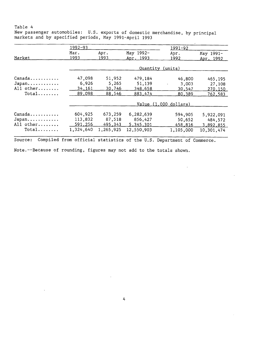New passenger automobiles: **U.S.** exports of domestic merchandise, **by** principal markets and **by** specified periods, May 1991-April **1993**

|                | $1992 - 93$  |              |                        | $1991 - 92$             |                        |
|----------------|--------------|--------------|------------------------|-------------------------|------------------------|
| Market         | Mar.<br>1993 | Apr.<br>1993 | May 1992-<br>Apr. 1993 | Apr.<br>1992            | May 1991-<br>Apr. 1992 |
|                |              |              | Quantity (units)       |                         |                        |
| Canada         | 47,098       | 51,952       | 479,184                | 46,800                  | 465, 195               |
| Japan          | 6,926        | 5,265        | 51,139                 | 3,003<br>$\blacksquare$ | 27,108                 |
| All other      | 34,161       | 30,746       | 348,658                | 30,547                  | 270,150                |
| $Total \ldots$ | 89,098       | 88,546       | 883,474                | 80,389                  | 762,583                |
|                |              |              |                        | $Value(1,000$ dollars)  |                        |
| Canada         | 604,925      | 673,259      | 6,282,639              | 594,905                 | 5,922,091              |
| Japan          | 113,832      | 87,518       | 856,427                | 50,652                  | 484,572                |
| All other      | 591,256      | 495.343      | 5,345,301              | 458,816                 | 3,892,855              |
| $Total$        | 1,324,640    | 1,265,925    | 12,550,903             | 1,105,000               | 10,301,474             |

Source: Compiled from official statistics of the **U.S.** Department of Commerce.

Note.--Because of rounding, figures may not add to the totals shown.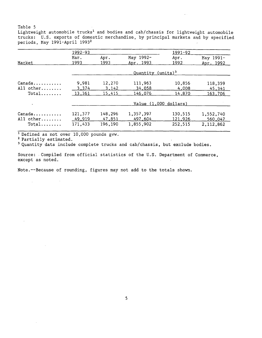Lightweight automobile trucks<sup>1</sup> and bodies and cab/chassis for lightweight automobile trucks: **U.S.** exports of domestic merchandise, **by** principal markets and **by** specified periods, May 1991-April **19932**

 $\sim$   $\sim$ 

|                     | 1992-93           |                   |                               | $1991 - 92$           |                        |
|---------------------|-------------------|-------------------|-------------------------------|-----------------------|------------------------|
| Market              | Mar.<br>1993      | Apr.<br>1993      | May 1992-<br>Apr. 1993        | Apr.<br><u> 1992 </u> | May 1991-<br>Apr. 1992 |
|                     |                   |                   | Quantity (units) <sup>3</sup> |                       |                        |
| Canada<br>All other | 9,981<br>3,374    | 12,270<br>3,142   | 111,963<br>34,058             | 10,856<br>4,008       | 118,359<br>45,341      |
| $Total$             | 13,361            | 15,415            | 146,076                       | 14,870                | 163,706                |
|                     |                   |                   | Value $(1,000$ dollars)       |                       |                        |
| Canada<br>All other | 121,377<br>49.919 | 148,296<br>47,851 | 1,357,397<br>497,604          | 130,515<br>121,926    | 1,552,740<br>560,047   |
| $Total$             | 171,433           | 196,190           | 1,855,902                     | 252,515               | 2,112,862              |

**1** Defined as not over **10,000** pounds gvw.

 $\sim$ 

**2** Partially estimated.

 $\Delta \sim 10^7$ 

**3** Quantity data include complete trucks and cab/chassis, but exclude bodies.

Source: Compiled from official statistics of the **U.S.** Department of Commerce, except as noted.

Note.--Because of rounding, figures may not add to the totals shown.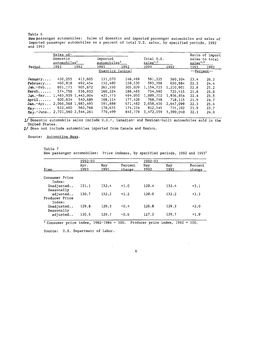New passenger automobiles: Sales of domestic and imported passenger automobiles and sales of impoited passenger automobiles as a percent of total **U.S.** sales, **by** specified periods, **<sup>1992</sup>** and **1993**

|             | Sales of-                |         |                          |         |                           |           |             | Ratio of import |
|-------------|--------------------------|---------|--------------------------|---------|---------------------------|-----------|-------------|-----------------|
|             | Domestic                 |         | Imported                 |         | Total U.S.                |           |             | sales to total  |
|             | automobiles <sup>1</sup> |         | automobiles <sup>2</sup> |         | $subsales$ <sup>1.2</sup> |           | subs        |                 |
| Period      | 1993                     | 1992    | 1993                     | 1992    | 1993                      | 1992      | 1993        | 1992            |
|             |                          |         | Quantity                 | (units) |                           |           | --Percent-- |                 |
| January     | 430,255                  | 413,605 | 131.070                  | 146.499 | 561,325                   | 560,104   | 23.4        | 26.2            |
| February    | 460.918                  | 492,454 | 132,480                  | 158,530 | 593,398                   | 650.984   | 22.3        | 24.4            |
| Jan.-Feb    | 891, 173                 | 905,872 | 263,550                  | 305,029 | 1.154.723                 | 1,210,901 | 22.8        | 25.2            |
| March       | 574.756                  | 536.932 | 160.224                  | 186.483 | 734,980                   | 723.415   | 21.8        | 25.8            |
| $Jan.-Mar$  | 1,465,929 1,442,804      |         | 423.773                  | 494,050 | 1.889.702                 | 1.936.854 | 22.4        | 25.5            |
| Aril        | 600.634                  | 540.689 | 168.114                  | 177.426 | 768.748                   | 718.115   | 21.9        | 24.7            |
| $Jan.-Apr$  | 2,066,568 1,983.493      |         | 591,888                  | 671.482 | 2,658,456                 | 2.647.099 | 22.3        | 25.4            |
| May         | 633.490                  | 560.768 | 178,655                  | 174.334 | 812,145                   | 735,102   | 21.9        | 23.7            |
| $May.-June$ | 2,701,560 2,544,261      |         | 770.499                  | 845,779 | 3,472,059                 | 3,390,040 | 22.1        | 24.9            |
|             |                          |         |                          |         |                           |           |             |                 |

**1/** Domestic automobile sales include **U.S.-,** Canadian- and Mexican-built automobiles sold in the United States.

2/ Does not include automobiles imported from Canada and Mexico.

Source: Automotive News.

Table **7** New passenger automobiles: Price indexes, **by** specified periods, **1992** and **19931**

|                                      | 1992-93      |             |                   | 1992-93     |             |                   |
|--------------------------------------|--------------|-------------|-------------------|-------------|-------------|-------------------|
| Item                                 | Apr.<br>1993 | May<br>1993 | Percent<br>change | May<br>1992 | May<br>1993 | Percent<br>change |
| Consumer Price<br>Index:             |              |             |                   |             |             |                   |
| Unadjusted<br>Seasonally             | 131.1        | 132.4       | $+1.0$            | 128.4       | 132.4       | $+3.1$            |
| adjusted<br>Producer Price<br>Index: | 130.7        | 132.2       | $+1.2$            | 128.0       | 132.2       | $+3.3$            |
| Unadjusted<br>Seasonally             | 129.8        | 129.3       | $-0.4$            | 126.8       | 129.3       | $+2.0$            |
| adjusted                             | 130.5        | 129.7       | $-0.6$            | 127.3       | 129.7       | $+1.9$            |

 $\frac{1}{1}$  Consumer price index,  $1982-1984 = 100$ . Producer price index,  $1982 = 100$ .

l,

Source: **U.S.** Department of Labor.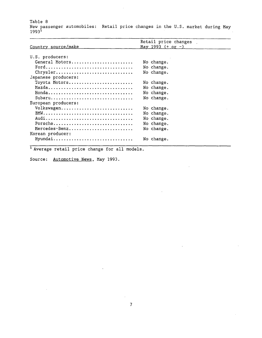Table **8** New passenger automobiles: Retail price changes in the **U.S.** market during May **19931**

|                     | Retail price changes                  |
|---------------------|---------------------------------------|
| Country source/make | <u>May 1993 <math>(+ or -)</math></u> |
|                     |                                       |
| U.S. producers:     |                                       |
| General Motors      | No change.                            |
| Ford                | No change.                            |
| Chrysler            | No change.                            |
| Japanese producers: |                                       |
| Toyota Motors       | No change.                            |
| Mazda               | No change.                            |
| Honda               | No change.                            |
| $Subaru$            | No change.                            |
| European producers: |                                       |
| Volkswagen          | No change.                            |
|                     | No change.                            |
|                     | No change.                            |
| Porsche             | No change.                            |
| Mercedes-Benz       | No change.                            |
| Korean producer:    |                                       |
| Hyundai             | No change.                            |
|                     |                                       |

**'** Average retail price change for all models.

Source: Automotive News, May **1993.**